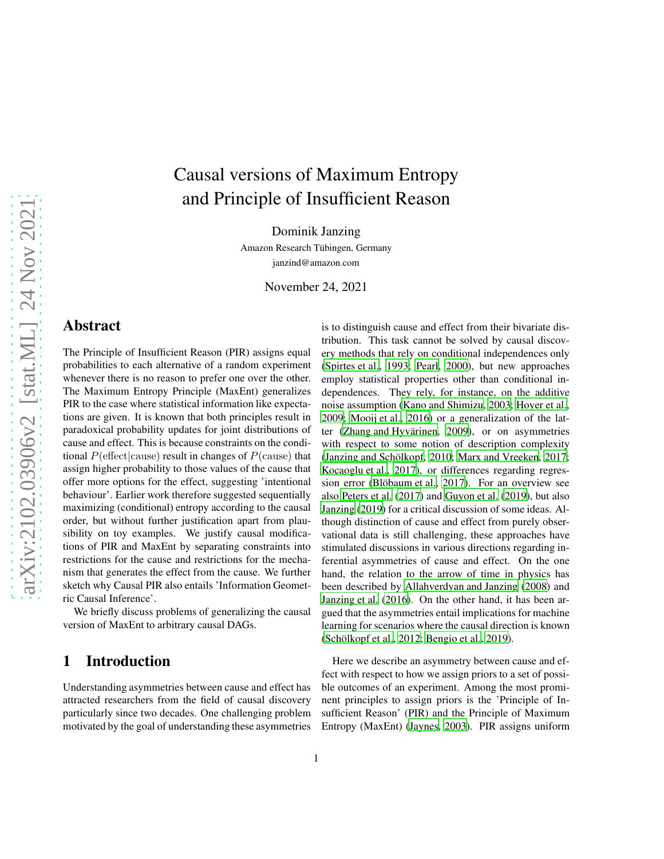# Causal versions of Maximum Entropy and Principle of Insufficient Reason

Dominik Janzing

Amazon Research Tübingen, Germany

janzind@amazon.com

November 24, 2021

### Abstract

The Principle of Insufficient Reason (PIR) assigns equal probabilities to each alternative of a random experiment whenever there is no reason to prefer one over the other. The Maximum Entropy Principle (MaxEnt) generalizes PIR to the case where statistical information like expectations are given. It is known that both principles result in paradoxical probability updates for joint distributions of cause and effect. This is because constraints on the conditional  $P(\text{effect}|\text{cause})$  result in changes of  $P(\text{cause})$  that assign higher probability to those values of the cause that offer more options for the effect, suggesting 'intentional behaviour'. Earlier work therefore suggested sequentially maximizing (conditional) entropy according to the causal order, but without further justification apart from plausibility on toy examples. We justify causal modifications of PIR and MaxEnt by separating constraints into restrictions for the cause and restrictions for the mechanism that generates the effect from the cause. We further sketch why Causal PIR also entails 'Information Geometric Causal Inference'.

We briefly discuss problems of generalizing the causal version of MaxEnt to arbitrary causal DAGs.

# 1 Introduction

Understanding asymmetries between cause and effect has attracted researchers from the field of causal discovery particularly since two decades. One challenging problem motivated by the goal of understanding these asymmetries is to distinguish cause and effect from their bivariate distribution. This task cannot be solved by causal discovery methods that rely on conditional independences only [\(Spirtes et al., 1993;](#page-13-0) [Pearl](#page-13-1), [2000\)](#page-13-1), but new approaches employ statistical properties other than conditional independences. They rely, for instance, on the additive noise assumption [\(Kano and Shimizu, 2003;](#page-13-2) [Hoyer et al.,](#page-12-0) [2009;](#page-12-0) [Mooij et al.](#page-13-3), [2016\)](#page-13-3) or a generalization of the latter (Zhang and Hyvärinen, 2009), or on asymmetries with respect to some notion of description complexity (Janzing and Schölkopf, 2010; [Marx and Vreeken, 2017;](#page-13-5) [Kocaoglu et al., 2017\)](#page-13-6), or differences regarding regres-sion error (Blöbaum et al., [2017\)](#page-12-2). For an overview see also [Peters et al.](#page-13-7) [\(2017\)](#page-13-7) and [Guyon et al.](#page-12-3) [\(2019\)](#page-12-3), but also [Janzing](#page-12-4) [\(2019\)](#page-12-4) for a critical discussion of some ideas. Although distinction of cause and effect from purely observational data is still challenging, these approaches have stimulated discussions in various directions regarding inferential asymmetries of cause and effect. On the one hand, the relation to the arrow of time in physics has been described by [Allahverdyan and Janzing \(2008](#page-12-5)) and [Janzing et al.](#page-13-8) [\(2016\)](#page-13-8). On the other hand, it has been argued that the asymmetries entail implications for machine learning for scenarios where the causal direction is known (Schölkopf et al., 2012; [Bengio et al., 2019\)](#page-12-6).

Here we describe an asymmetry between cause and effect with respect to how we assign priors to a set of possible outcomes of an experiment. Among the most prominent principles to assign priors is the 'Principle of Insufficient Reason' (PIR) and the Principle of Maximum Entropy (MaxEnt) [\(Jaynes](#page-13-10), [2003](#page-13-10)). PIR assigns uniform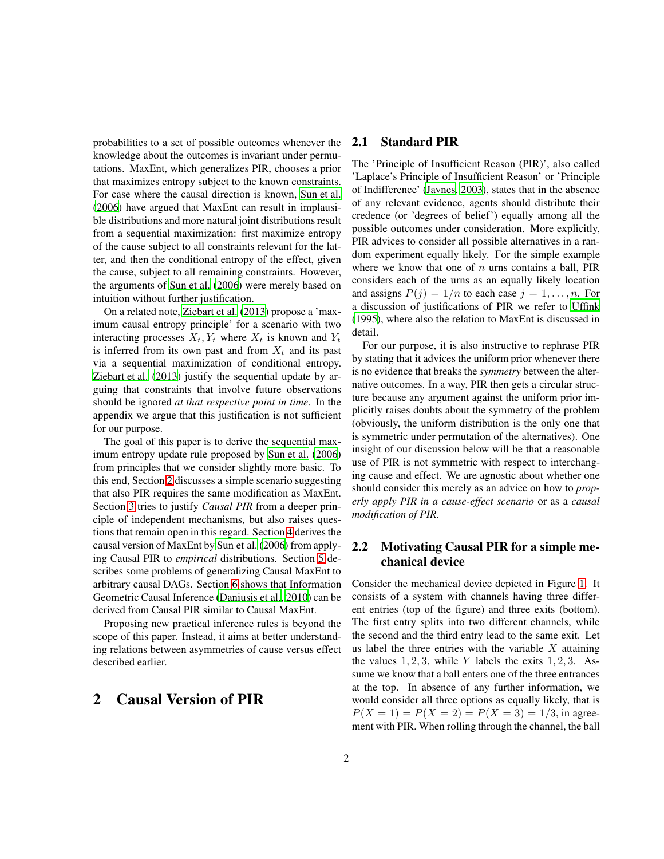probabilities to a set of possible outcomes whenever the knowledge about the outcomes is invariant under permutations. MaxEnt, which generalizes PIR, chooses a prior that maximizes entropy subject to the known constraints. For case where the causal direction is known, [Sun et al.](#page-13-11) [\(2006](#page-13-11)) have argued that MaxEnt can result in implausible distributions and more natural joint distributions result from a sequential maximization: first maximize entropy of the cause subject to all constraints relevant for the latter, and then the conditional entropy of the effect, given the cause, subject to all remaining constraints. However, the arguments of [Sun et al. \(2006\)](#page-13-11) were merely based on intuition without further justification.

On a related note, [Ziebart et al.](#page-14-0) [\(2013\)](#page-14-0) propose a 'maximum causal entropy principle' for a scenario with two interacting processes  $X_t, Y_t$  where  $X_t$  is known and  $Y_t$ is inferred from its own past and from  $X_t$  and its past via a sequential maximization of conditional entropy. [Ziebart et al.](#page-14-0) [\(2013\)](#page-14-0) justify the sequential update by arguing that constraints that involve future observations should be ignored *at that respective point in time*. In the appendix we argue that this justification is not sufficient for our purpose.

The goal of this paper is to derive the sequential maximum entropy update rule proposed by [Sun et al. \(2006\)](#page-13-11) from principles that we consider slightly more basic. To this end, Section [2](#page-1-0) discusses a simple scenario suggesting that also PIR requires the same modification as MaxEnt. Section [3](#page-4-0) tries to justify *Causal PIR* from a deeper principle of independent mechanisms, but also raises questions that remain open in this regard. Section [4](#page-7-0) derives the causal version of MaxEnt by [Sun et al.](#page-13-11) [\(2006\)](#page-13-11) from applying Causal PIR to *empirical* distributions. Section [5](#page-9-0) describes some problems of generalizing Causal MaxEnt to arbitrary causal DAGs. Section [6](#page-11-0) shows that Information Geometric Causal Inference [\(Daniusis et al.](#page-12-7), [2010\)](#page-12-7) can be derived from Causal PIR similar to Causal MaxEnt.

Proposing new practical inference rules is beyond the scope of this paper. Instead, it aims at better understanding relations between asymmetries of cause versus effect described earlier.

### <span id="page-1-0"></span>2 Causal Version of PIR

#### 2.1 Standard PIR

The 'Principle of Insufficient Reason (PIR)', also called 'Laplace's Principle of Insufficient Reason' or 'Principle of Indifference' [\(Jaynes](#page-13-10), [2003](#page-13-10)), states that in the absence of any relevant evidence, agents should distribute their credence (or 'degrees of belief') equally among all the possible outcomes under consideration. More explicitly, PIR advices to consider all possible alternatives in a random experiment equally likely. For the simple example where we know that one of  $n$  urns contains a ball, PIR considers each of the urns as an equally likely location and assigns  $P(j) = 1/n$  to each case  $j = 1, ..., n$ . For a discussion of justifications of PIR we refer to [Uffink](#page-13-12) [\(1995\)](#page-13-12), where also the relation to MaxEnt is discussed in detail.

For our purpose, it is also instructive to rephrase PIR by stating that it advices the uniform prior whenever there is no evidence that breaks the *symmetry* between the alternative outcomes. In a way, PIR then gets a circular structure because any argument against the uniform prior implicitly raises doubts about the symmetry of the problem (obviously, the uniform distribution is the only one that is symmetric under permutation of the alternatives). One insight of our discussion below will be that a reasonable use of PIR is not symmetric with respect to interchanging cause and effect. We are agnostic about whether one should consider this merely as an advice on how to *properly apply PIR in a cause-effect scenario* or as a *causal modification of PIR*.

### 2.2 Motivating Causal PIR for a simple mechanical device

Consider the mechanical device depicted in Figure [1.](#page-2-0) It consists of a system with channels having three different entries (top of the figure) and three exits (bottom). The first entry splits into two different channels, while the second and the third entry lead to the same exit. Let us label the three entries with the variable  $X$  attaining the values  $1, 2, 3$ , while Y labels the exits  $1, 2, 3$ . Assume we know that a ball enters one of the three entrances at the top. In absence of any further information, we would consider all three options as equally likely, that is  $P(X = 1) = P(X = 2) = P(X = 3) = 1/3$ , in agreement with PIR. When rolling through the channel, the ball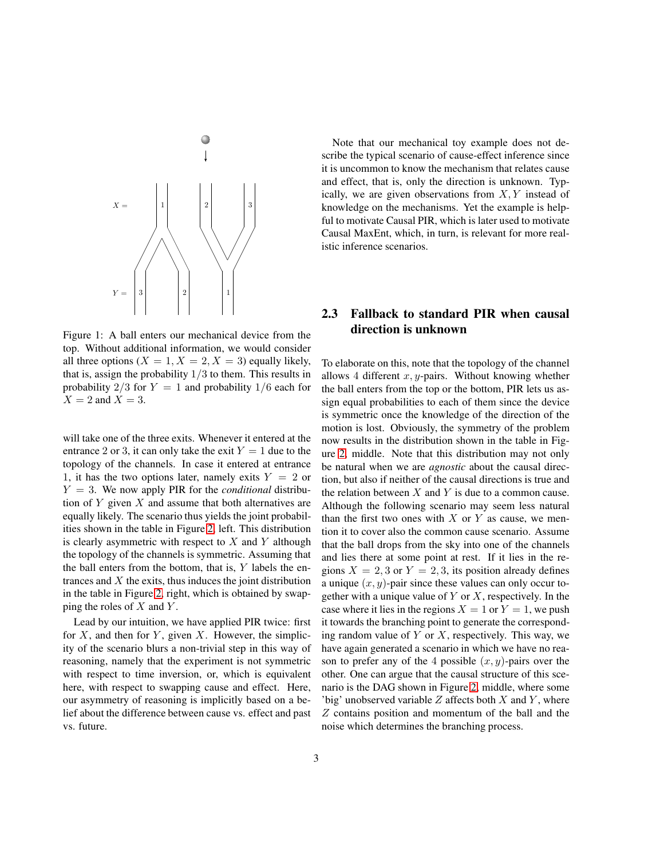

<span id="page-2-0"></span>Figure 1: A ball enters our mechanical device from the top. Without additional information, we would consider all three options  $(X = 1, X = 2, X = 3)$  equally likely, that is, assign the probability  $1/3$  to them. This results in probability  $2/3$  for  $Y = 1$  and probability  $1/6$  each for  $X = 2$  and  $X = 3$ .

will take one of the three exits. Whenever it entered at the entrance 2 or 3, it can only take the exit  $Y = 1$  due to the topology of the channels. In case it entered at entrance 1, it has the two options later, namely exits  $Y = 2$  or  $Y = 3$ . We now apply PIR for the *conditional* distribution of  $Y$  given  $X$  and assume that both alternatives are equally likely. The scenario thus yields the joint probabilities shown in the table in Figure [2,](#page-4-1) left. This distribution is clearly asymmetric with respect to  $X$  and  $Y$  although the topology of the channels is symmetric. Assuming that the ball enters from the bottom, that is,  $Y$  labels the entrances and  $X$  the exits, thus induces the joint distribution in the table in Figure [2,](#page-4-1) right, which is obtained by swapping the roles of  $X$  and  $Y$ .

Lead by our intuition, we have applied PIR twice: first for X, and then for Y, given X. However, the simplicity of the scenario blurs a non-trivial step in this way of reasoning, namely that the experiment is not symmetric with respect to time inversion, or, which is equivalent here, with respect to swapping cause and effect. Here, our asymmetry of reasoning is implicitly based on a belief about the difference between cause vs. effect and past vs. future.

Note that our mechanical toy example does not describe the typical scenario of cause-effect inference since it is uncommon to know the mechanism that relates cause and effect, that is, only the direction is unknown. Typically, we are given observations from  $X, Y$  instead of knowledge on the mechanisms. Yet the example is helpful to motivate Causal PIR, which is later used to motivate Causal MaxEnt, which, in turn, is relevant for more realistic inference scenarios.

## 2.3 Fallback to standard PIR when causal direction is unknown

To elaborate on this, note that the topology of the channel allows 4 different  $x, y$ -pairs. Without knowing whether the ball enters from the top or the bottom, PIR lets us assign equal probabilities to each of them since the device is symmetric once the knowledge of the direction of the motion is lost. Obviously, the symmetry of the problem now results in the distribution shown in the table in Figure [2,](#page-4-1) middle. Note that this distribution may not only be natural when we are *agnostic* about the causal direction, but also if neither of the causal directions is true and the relation between  $X$  and  $Y$  is due to a common cause. Although the following scenario may seem less natural than the first two ones with  $X$  or  $Y$  as cause, we mention it to cover also the common cause scenario. Assume that the ball drops from the sky into one of the channels and lies there at some point at rest. If it lies in the regions  $X = 2, 3$  or  $Y = 2, 3$ , its position already defines a unique  $(x, y)$ -pair since these values can only occur together with a unique value of  $Y$  or  $X$ , respectively. In the case where it lies in the regions  $X = 1$  or  $Y = 1$ , we push it towards the branching point to generate the corresponding random value of  $Y$  or  $X$ , respectively. This way, we have again generated a scenario in which we have no reason to prefer any of the 4 possible  $(x, y)$ -pairs over the other. One can argue that the causal structure of this scenario is the DAG shown in Figure [2,](#page-4-1) middle, where some 'big' unobserved variable  $Z$  affects both  $X$  and  $Y$ , where Z contains position and momentum of the ball and the noise which determines the branching process.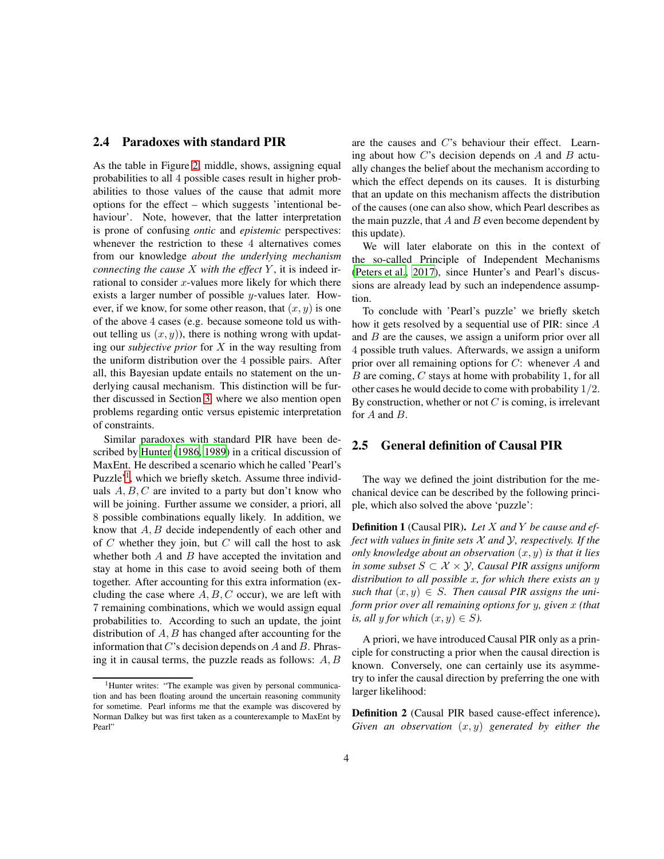#### <span id="page-3-2"></span>2.4 Paradoxes with standard PIR

As the table in Figure [2,](#page-4-1) middle, shows, assigning equal probabilities to all 4 possible cases result in higher probabilities to those values of the cause that admit more options for the effect – which suggests 'intentional behaviour'. Note, however, that the latter interpretation is prone of confusing *ontic* and *epistemic* perspectives: whenever the restriction to these 4 alternatives comes from our knowledge *about the underlying mechanism connecting the cause* X *with the effect* Y , it is indeed irrational to consider  $x$ -values more likely for which there exists a larger number of possible y-values later. However, if we know, for some other reason, that  $(x, y)$  is one of the above 4 cases (e.g. because someone told us without telling us  $(x, y)$ , there is nothing wrong with updating our *subjective prior* for X in the way resulting from the uniform distribution over the 4 possible pairs. After all, this Bayesian update entails no statement on the underlying causal mechanism. This distinction will be further discussed in Section [3,](#page-4-0) where we also mention open problems regarding ontic versus epistemic interpretation of constraints.

Similar paradoxes with standard PIR have been described by [Hunter](#page-12-8) [\(1986,](#page-12-8) [1989\)](#page-12-9) in a critical discussion of MaxEnt. He described a scenario which he called 'Pearl's Puzzle'<sup>[1](#page-3-0)</sup>, which we briefly sketch. Assume three individuals  $A, B, C$  are invited to a party but don't know who will be joining. Further assume we consider, a priori, all 8 possible combinations equally likely. In addition, we know that  $A, B$  decide independently of each other and of  $C$  whether they join, but  $C$  will call the host to ask whether both  $A$  and  $B$  have accepted the invitation and stay at home in this case to avoid seeing both of them together. After accounting for this extra information (excluding the case where  $A, B, C$  occur), we are left with 7 remaining combinations, which we would assign equal probabilities to. According to such an update, the joint distribution of  $A, B$  has changed after accounting for the information that  $C$ 's decision depends on  $A$  and  $B$ . Phrasing it in causal terms, the puzzle reads as follows:  $A, B$ 

are the causes and C's behaviour their effect. Learning about how  $C$ 's decision depends on  $A$  and  $B$  actually changes the belief about the mechanism according to which the effect depends on its causes. It is disturbing that an update on this mechanism affects the distribution of the causes (one can also show, which Pearl describes as the main puzzle, that  $A$  and  $B$  even become dependent by this update).

We will later elaborate on this in the context of the so-called Principle of Independent Mechanisms [\(Peters et al.](#page-13-7), [2017\)](#page-13-7), since Hunter's and Pearl's discussions are already lead by such an independence assumption.

To conclude with 'Pearl's puzzle' we briefly sketch how it gets resolved by a sequential use of PIR: since A and B are the causes, we assign a uniform prior over all 4 possible truth values. Afterwards, we assign a uniform prior over all remaining options for  $C$ : whenever  $A$  and  $B$  are coming,  $C$  stays at home with probability 1, for all other cases he would decide to come with probability 1/2. By construction, whether or not  $C$  is coming, is irrelevant for A and B.

#### 2.5 General definition of Causal PIR

The way we defined the joint distribution for the mechanical device can be described by the following principle, which also solved the above 'puzzle':

<span id="page-3-1"></span>Definition 1 (Causal PIR). *Let* X *and* Y *be cause and effect with values in finite sets* X *and* Y*, respectively. If the only knowledge about an observation*  $(x, y)$  *is that it lies in some subset*  $S$  ⊂  $X$   $\times$   $Y$ *, Causal PIR assigns uniform distribution to all possible* x*, for which there exists an* y such that  $(x, y) \in S$ . Then causal PIR assigns the uni*form prior over all remaining options for* y*, given* x *(that is, all* y *for which*  $(x, y) \in S$ *).* 

A priori, we have introduced Causal PIR only as a principle for constructing a prior when the causal direction is known. Conversely, one can certainly use its asymmetry to infer the causal direction by preferring the one with larger likelihood:

<span id="page-3-3"></span>Definition 2 (Causal PIR based cause-effect inference). *Given an observation* (x, y) *generated by either the*

<span id="page-3-0"></span><sup>&</sup>lt;sup>1</sup>Hunter writes: "The example was given by personal communication and has been floating around the uncertain reasoning community for sometime. Pearl informs me that the example was discovered by Norman Dalkey but was first taken as a counterexample to MaxEnt by Pearl"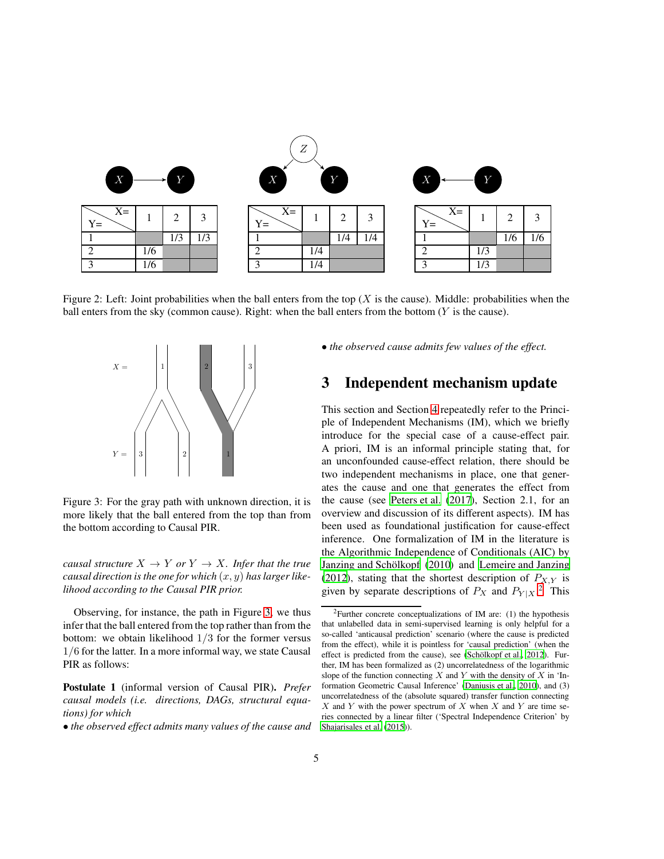

Figure 2: Left: Joint probabilities when the ball enters from the top  $(X$  is the cause). Middle: probabilities when the ball enters from the sky (common cause). Right: when the ball enters from the bottom  $(Y$  is the cause).

<span id="page-4-1"></span>

<span id="page-4-2"></span>Figure 3: For the gray path with unknown direction, it is more likely that the ball entered from the top than from the bottom according to Causal PIR.

*causal structure*  $X \to Y$  *or*  $Y \to X$ *. Infer that the true causal direction is the one for which* (x, y) *has larger likelihood according to the Causal PIR prior.*

Observing, for instance, the path in Figure [3,](#page-4-2) we thus infer that the ball entered from the top rather than from the bottom: we obtain likelihood  $1/3$  for the former versus 1/6 for the latter. In a more informal way, we state Causal PIR as follows:

Postulate 1 (informal version of Causal PIR). *Prefer causal models (i.e. directions, DAGs, structural equations) for which*

• *the observed effect admits many values of the cause and*

• *the observed cause admits few values of the effect.*

## <span id="page-4-0"></span>3 Independent mechanism update

This section and Section [4](#page-7-0) repeatedly refer to the Principle of Independent Mechanisms (IM), which we briefly introduce for the special case of a cause-effect pair. A priori, IM is an informal principle stating that, for an unconfounded cause-effect relation, there should be two independent mechanisms in place, one that generates the cause and one that generates the effect from the cause (see [Peters et al.](#page-13-7) [\(2017\)](#page-13-7), Section 2.1, for an overview and discussion of its different aspects). IM has been used as foundational justification for cause-effect inference. One formalization of IM in the literature is the Algorithmic Independence of Conditionals (AIC) by Janzing and Schölkopf (2010) and [Lemeire and Janzing](#page-13-13) [\(2012\)](#page-13-13), stating that the shortest description of  $P_{X,Y}$  is given by separate descriptions of  $P_X$  and  $P_{Y|X}$ <sup>[2](#page-4-3)</sup>. This

<span id="page-4-3"></span> $2$ Further concrete conceptualizations of IM are: (1) the hypothesis that unlabelled data in semi-supervised learning is only helpful for a so-called 'anticausal prediction' scenario (where the cause is predicted from the effect), while it is pointless for 'causal prediction' (when the effect is predicted from the cause), see (Schölkopf et al., [2012\)](#page-13-9). Further, IM has been formalized as (2) uncorrelatedness of the logarithmic slope of the function connecting  $X$  and  $Y$  with the density of  $X$  in 'Information Geometric Causal Inference' [\(Daniusis et al.](#page-12-7), [2010\)](#page-12-7), and (3) uncorrelatedness of the (absolute squared) transfer function connecting  $X$  and Y with the power spectrum of X when X and Y are time series connected by a linear filter ('Spectral Independence Criterion' by [Shajarisales et al. \(2015\)](#page-13-14)).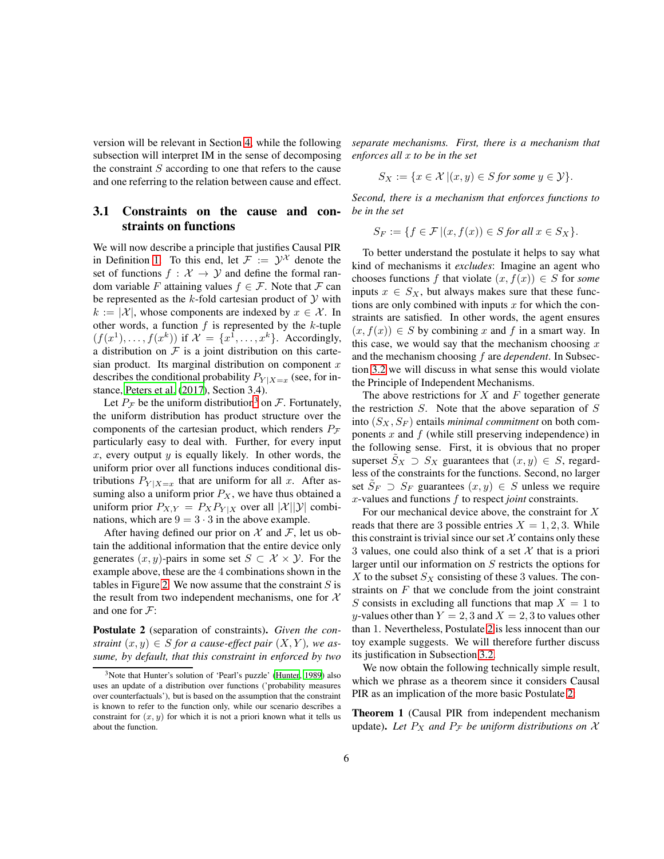version will be relevant in Section [4,](#page-7-0) while the following subsection will interpret IM in the sense of decomposing the constraint  $S$  according to one that refers to the cause and one referring to the relation between cause and effect.

#### <span id="page-5-3"></span>3.1 Constraints on the cause and constraints on functions

We will now describe a principle that justifies Causal PIR in Definition [1.](#page-3-1) To this end, let  $\mathcal{F} := \mathcal{Y}^{\mathcal{X}}$  denote the set of functions  $f : \mathcal{X} \to \mathcal{Y}$  and define the formal random variable F attaining values  $f \in \mathcal{F}$ . Note that F can be represented as the  $k$ -fold cartesian product of  $Y$  with  $k := |\mathcal{X}|$ , whose components are indexed by  $x \in \mathcal{X}$ . In other words, a function  $f$  is represented by the  $k$ -tuple  $(f(x^1),..., f(x^k))$  if  $\mathcal{X} = \{x^1,..., x^k\}$ . Accordingly, a distribution on  $F$  is a joint distribution on this cartesian product. Its marginal distribution on component  $x$ describes the conditional probability  $P_{Y|X=x}$  (see, for instance, [Peters et al. \(2017\)](#page-13-7), Section 3.4).

Let  $P_{\mathcal{F}}$  be the uniform distribution<sup>[3](#page-5-0)</sup> on  $\mathcal{F}$ . Fortunately, the uniform distribution has product structure over the components of the cartesian product, which renders  $P_F$ particularly easy to deal with. Further, for every input x, every output  $y$  is equally likely. In other words, the uniform prior over all functions induces conditional distributions  $P_{Y|X=x}$  that are uniform for all x. After assuming also a uniform prior  $P_X$ , we have thus obtained a uniform prior  $P_{X,Y} = P_X P_{Y|X}$  over all  $|X||\mathcal{Y}|$  combinations, which are  $9 = 3 \cdot 3$  in the above example.

After having defined our prior on  $\mathcal X$  and  $\mathcal F$ , let us obtain the additional information that the entire device only generates  $(x, y)$ -pairs in some set  $S \subset \mathcal{X} \times \mathcal{Y}$ . For the example above, these are the 4 combinations shown in the tables in Figure [2.](#page-4-1) We now assume that the constraint  $S$  is the result from two independent mechanisms, one for  $X$ and one for  $\mathcal{F}$ :

<span id="page-5-1"></span>Postulate 2 (separation of constraints). *Given the constraint*  $(x, y) \in S$  *for a cause-effect pair*  $(X, Y)$ *, we assume, by default, that this constraint in enforced by two* *separate mechanisms. First, there is a mechanism that enforces all* x *to be in the set*

$$
S_X := \{ x \in \mathcal{X} \mid (x, y) \in S \text{ for some } y \in \mathcal{Y} \}.
$$

*Second, there is a mechanism that enforces functions to be in the set*

$$
S_F := \{ f \in \mathcal{F} \, | (x, f(x)) \in S \text{ for all } x \in S_X \}.
$$

To better understand the postulate it helps to say what kind of mechanisms it *excludes*: Imagine an agent who chooses functions f that violate  $(x, f(x)) \in S$  for *some* inputs  $x \in S_X$ , but always makes sure that these functions are only combined with inputs  $x$  for which the constraints are satisfied. In other words, the agent ensures  $(x, f(x)) \in S$  by combining x and f in a smart way. In this case, we would say that the mechanism choosing  $x$ and the mechanism choosing f are *dependent*. In Subsection [3.2](#page-6-0) we will discuss in what sense this would violate the Principle of Independent Mechanisms.

The above restrictions for  $X$  and  $F$  together generate the restriction  $S$ . Note that the above separation of  $S$ into  $(S_X, S_F)$  entails *minimal commitment* on both components  $x$  and  $f$  (while still preserving independence) in the following sense. First, it is obvious that no proper superset  $S_X \supset S_X$  guarantees that  $(x, y) \in S$ , regardless of the constraints for the functions. Second, no larger set  $\tilde{S}_F \supset S_F$  guarantees  $(x, y) \in S$  unless we require x-values and functions f to respect *joint* constraints.

For our mechanical device above, the constraint for  $X$ reads that there are 3 possible entries  $X = 1, 2, 3$ . While this constraint is trivial since our set  $X$  contains only these 3 values, one could also think of a set  $\mathcal X$  that is a priori larger until our information on S restricts the options for  $X$  to the subset  $S_X$  consisting of these 3 values. The constraints on  $F$  that we conclude from the joint constraint S consists in excluding all functions that map  $X = 1$  to y-values other than  $Y = 2, 3$  and  $X = 2, 3$  to values other than 1. Nevertheless, Postulate [2](#page-5-1) is less innocent than our toy example suggests. We will therefore further discuss its justification in Subsection [3.2.](#page-6-0)

We now obtain the following technically simple result, which we phrase as a theorem since it considers Causal PIR as an implication of the more basic Postulate [2:](#page-5-1)

<span id="page-5-2"></span>Theorem 1 (Causal PIR from independent mechanism update). Let  $P_X$  and  $P_F$  be uniform distributions on X

<span id="page-5-0"></span><sup>&</sup>lt;sup>3</sup>Note that Hunter's solution of 'Pearl's puzzle' [\(Hunter](#page-12-9), [1989\)](#page-12-9) also uses an update of a distribution over functions ('probability measures over counterfactuals'), but is based on the assumption that the constraint is known to refer to the function only, while our scenario describes a constraint for  $(x, y)$  for which it is not a priori known what it tells us about the function.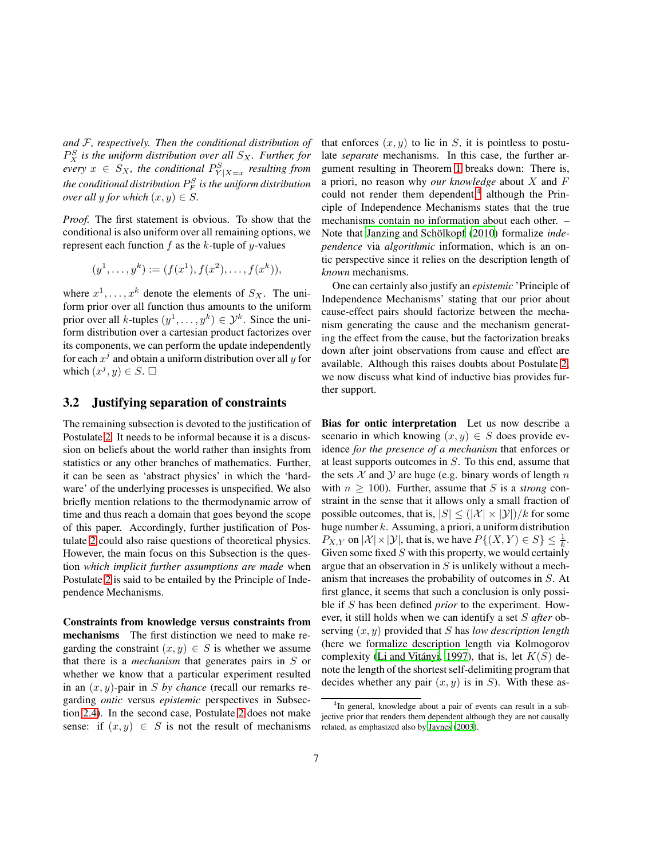*and* F*, respectively. Then the conditional distribution of*  $P_X^S$  is the uniform distribution over all  $S_X$ . Further, for  $\textit{every } x \in S_X$ , the conditional  $P^S_{Y|X=x}$  resulting from *the conditional distribution* P S F *is the uniform distribution over all* y *for which*  $(x, y) \in S$ .

*Proof.* The first statement is obvious. To show that the conditional is also uniform over all remaining options, we represent each function  $f$  as the  $k$ -tuple of  $y$ -values

$$
(y^1, \ldots, y^k) := (f(x^1), f(x^2), \ldots, f(x^k)),
$$

where  $x^1, \ldots, x^k$  denote the elements of  $S_X$ . The uniform prior over all function thus amounts to the uniform prior over all k-tuples  $(y^1, \ldots, y^k) \in \mathcal{Y}^k$ . Since the uniform distribution over a cartesian product factorizes over its components, we can perform the update independently for each  $x^j$  and obtain a uniform distribution over all  $y$  for which  $(x^j, y) \in S$ .  $\square$ 

#### <span id="page-6-0"></span>3.2 Justifying separation of constraints

The remaining subsection is devoted to the justification of Postulate [2.](#page-5-1) It needs to be informal because it is a discussion on beliefs about the world rather than insights from statistics or any other branches of mathematics. Further, it can be seen as 'abstract physics' in which the 'hardware' of the underlying processes is unspecified. We also briefly mention relations to the thermodynamic arrow of time and thus reach a domain that goes beyond the scope of this paper. Accordingly, further justification of Postulate [2](#page-5-1) could also raise questions of theoretical physics. However, the main focus on this Subsection is the question *which implicit further assumptions are made* when Postulate [2](#page-5-1) is said to be entailed by the Principle of Independence Mechanisms.

Constraints from knowledge versus constraints from mechanisms The first distinction we need to make regarding the constraint  $(x, y) \in S$  is whether we assume that there is a *mechanism* that generates pairs in S or whether we know that a particular experiment resulted in an (x, y)-pair in S *by chance* (recall our remarks regarding *ontic* versus *epistemic* perspectives in Subsection [2.4\)](#page-3-2). In the second case, Postulate [2](#page-5-1) does not make sense: if  $(x, y) \in S$  is not the result of mechanisms

that enforces  $(x, y)$  to lie in S, it is pointless to postulate *separate* mechanisms. In this case, the further argument resulting in Theorem [1](#page-5-2) breaks down: There is, a priori, no reason why *our knowledge* about X and F could not render them dependent, $4$  although the Principle of Independence Mechanisms states that the true mechanisms contain no information about each other. – Note that Janzing and Schölkopf (2010) formalize *independence* via *algorithmic* information, which is an ontic perspective since it relies on the description length of *known* mechanisms.

One can certainly also justify an *epistemic* 'Principle of Independence Mechanisms' stating that our prior about cause-effect pairs should factorize between the mechanism generating the cause and the mechanism generating the effect from the cause, but the factorization breaks down after joint observations from cause and effect are available. Although this raises doubts about Postulate [2,](#page-5-1) we now discuss what kind of inductive bias provides further support.

Bias for ontic interpretation Let us now describe a scenario in which knowing  $(x, y) \in S$  does provide evidence *for the presence of a mechanism* that enforces or at least supports outcomes in S. To this end, assume that the sets  $X$  and  $Y$  are huge (e.g. binary words of length n with  $n \geq 100$ ). Further, assume that S is a *strong* constraint in the sense that it allows only a small fraction of possible outcomes, that is,  $|S| \leq (|\mathcal{X}| \times |\mathcal{Y}|)/k$  for some huge number  $k$ . Assuming, a priori, a uniform distribution  $P_{X,Y}$  on  $|\mathcal{X}| \times |\mathcal{Y}|$ , that is, we have  $P\{(X,Y) \in S\} \leq \frac{1}{k}$ . Given some fixed  $S$  with this property, we would certainly argue that an observation in  $S$  is unlikely without a mechanism that increases the probability of outcomes in S. At first glance, it seems that such a conclusion is only possible if S has been defined *prior* to the experiment. However, it still holds when we can identify a set S *after* observing (x, y) provided that S has *low description length* (here we formalize description length via Kolmogorov complexity (Li and Vitányi, 1997), that is, let  $K(S)$  denote the length of the shortest self-delimiting program that decides whether any pair  $(x, y)$  is in S). With these as-

<span id="page-6-1"></span><sup>&</sup>lt;sup>4</sup>In general, knowledge about a pair of events can result in a subjective prior that renders them dependent although they are not causally related, as emphasized also by [Jaynes \(2003](#page-13-10)).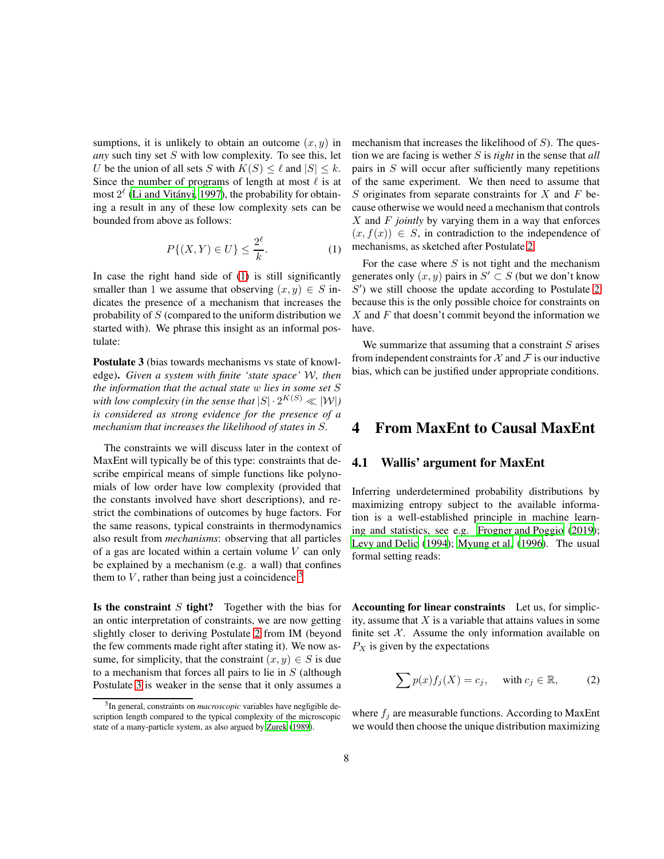sumptions, it is unlikely to obtain an outcome  $(x, y)$  in *any* such tiny set S with low complexity. To see this, let U be the union of all sets S with  $K(S) \leq \ell$  and  $|S| \leq k$ . Since the number of programs of length at most  $\ell$  is at most  $2^{\ell}$  (Li and Vitányi, 1997), the probability for obtaining a result in any of these low complexity sets can be bounded from above as follows:

<span id="page-7-1"></span>
$$
P\{(X,Y)\in U\} \le \frac{2^{\ell}}{k}.\tag{1}
$$

In case the right hand side of [\(1\)](#page-7-1) is still significantly smaller than 1 we assume that observing  $(x, y) \in S$  indicates the presence of a mechanism that increases the probability of  $S$  (compared to the uniform distribution we started with). We phrase this insight as an informal postulate:

<span id="page-7-3"></span>Postulate 3 (bias towards mechanisms vs state of knowledge). *Given a system with finite 'state space'* W*, then the information that the actual state* w *lies in some set* S with low complexity (in the sense that  $|S|\cdot 2^{K(S)}\ll |\mathcal{W}|$ ) *is considered as strong evidence for the presence of a mechanism that increases the likelihood of states in* S*.*

The constraints we will discuss later in the context of MaxEnt will typically be of this type: constraints that describe empirical means of simple functions like polynomials of low order have low complexity (provided that the constants involved have short descriptions), and restrict the combinations of outcomes by huge factors. For the same reasons, typical constraints in thermodynamics also result from *mechanisms*: observing that all particles of a gas are located within a certain volume  $V$  can only be explained by a mechanism (e.g. a wall) that confines them to  $V$ , rather than being just a coincidence.<sup>[5](#page-7-2)</sup>

Is the constraint  $S$  tight? Together with the bias for an ontic interpretation of constraints, we are now getting slightly closer to deriving Postulate [2](#page-5-1) from IM (beyond the few comments made right after stating it). We now assume, for simplicity, that the constraint  $(x, y) \in S$  is due to a mechanism that forces all pairs to lie in  $S$  (although Postulate [3](#page-7-3) is weaker in the sense that it only assumes a mechanism that increases the likelihood of  $S$ ). The question we are facing is wether S is *tight* in the sense that *all* pairs in S will occur after sufficiently many repetitions of the same experiment. We then need to assume that S originates from separate constraints for  $X$  and  $F$  because otherwise we would need a mechanism that controls X and F *jointly* by varying them in a way that enforces  $(x, f(x)) \in S$ , in contradiction to the independence of mechanisms, as sketched after Postulate [2.](#page-5-1)

For the case where  $S$  is not tight and the mechanism generates only  $(x, y)$  pairs in  $S' \subset S$  (but we don't know S ′ ) we still choose the update according to Postulate [2](#page-5-1) because this is the only possible choice for constraints on  $X$  and  $F$  that doesn't commit beyond the information we have.

We summarize that assuming that a constraint  $S$  arises from independent constraints for  $\mathcal X$  and  $\mathcal F$  is our inductive bias, which can be justified under appropriate conditions.

### <span id="page-7-5"></span><span id="page-7-0"></span>4 From MaxEnt to Causal MaxEnt

#### 4.1 Wallis' argument for MaxEnt

Inferring underdetermined probability distributions by maximizing entropy subject to the available information is a well-established principle in machine learning and statistics, see e.g. [Frogner and Poggio \(2019](#page-12-10)); [Levy and Delic \(1994\)](#page-13-16); [Myung et al. \(1996\)](#page-13-17). The usual formal setting reads:

Accounting for linear constraints Let us, for simplicity, assume that  $X$  is a variable that attains values in some finite set  $X$ . Assume the only information available on  $P_X$  is given by the expectations

<span id="page-7-4"></span>
$$
\sum p(x)f_j(X) = c_j, \quad \text{with } c_j \in \mathbb{R}, \tag{2}
$$

where  $f_j$  are measurable functions. According to MaxEnt we would then choose the unique distribution maximizing

<span id="page-7-2"></span><sup>5</sup> In general, constraints on *macroscopic* variables have negligible description length compared to the typical complexity of the microscopic state of a many-particle system, as also argued by [Zurek](#page-14-1) [\(1989](#page-14-1)).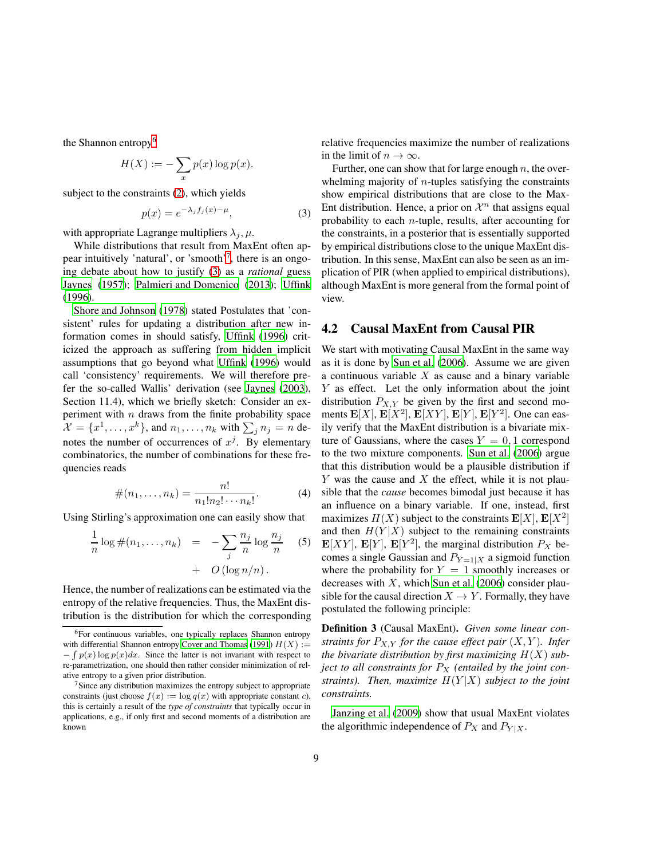the Shannon entropy<sup>[6](#page-8-0)</sup>

$$
H(X) := -\sum_{x} p(x) \log p(x).
$$

subject to the constraints [\(2\)](#page-7-4), which yields

<span id="page-8-2"></span>
$$
p(x) = e^{-\lambda_j f_j(x) - \mu}, \tag{3}
$$

with appropriate Lagrange multipliers  $\lambda_i, \mu$ .

While distributions that result from MaxEnt often ap-pear intuitively 'natural', or 'smooth'<sup>[7](#page-8-1)</sup>, there is an ongoing debate about how to justify [\(3\)](#page-8-2) as a *rational* guess [Jaynes](#page-13-18) [\(1957\)](#page-13-18); [Palmieri and Domenico \(2013\)](#page-13-19); [Uffink](#page-13-20) [\(1996\)](#page-13-20).

[Shore and Johnson \(1978\)](#page-13-21) stated Postulates that 'consistent' rules for updating a distribution after new information comes in should satisfy, [Uffink \(1996](#page-13-20)) criticized the approach as suffering from hidden implicit assumptions that go beyond what [Uffink](#page-13-20) [\(1996\)](#page-13-20) would call 'consistency' requirements. We will therefore prefer the so-called Wallis' derivation (see [Jaynes \(2003\)](#page-13-10), Section 11.4), which we briefly sketch: Consider an experiment with  $n$  draws from the finite probability space  $\mathcal{X} = \{x^1, \dots, x^k\}$ , and  $n_1, \dots, n_k$  with  $\sum_j n_j = n$  denotes the number of occurrences of  $x^j$ . By elementary combinatorics, the number of combinations for these frequencies reads

<span id="page-8-4"></span>
$$
\#(n_1,\ldots,n_k) = \frac{n!}{n_1!n_2!\cdots n_k!}.
$$
 (4)

Using Stirling's approximation one can easily show that

<span id="page-8-3"></span>
$$
\frac{1}{n}\log \#(n_1,\ldots,n_k) = -\sum_j \frac{n_j}{n} \log \frac{n_j}{n}
$$
\n
$$
+ O(\log n/n).
$$
\n(5)

Hence, the number of realizations can be estimated via the entropy of the relative frequencies. Thus, the MaxEnt distribution is the distribution for which the corresponding relative frequencies maximize the number of realizations in the limit of  $n \to \infty$ .

Further, one can show that for large enough  $n$ , the overwhelming majority of  $n$ -tuples satisfying the constraints show empirical distributions that are close to the Max-Ent distribution. Hence, a prior on  $\mathcal{X}^n$  that assigns equal probability to each  $n$ -tuple, results, after accounting for the constraints, in a posterior that is essentially supported by empirical distributions close to the unique MaxEnt distribution. In this sense, MaxEnt can also be seen as an implication of PIR (when applied to empirical distributions), although MaxEnt is more general from the formal point of view.

#### 4.2 Causal MaxEnt from Causal PIR

We start with motivating Causal MaxEnt in the same way as it is done by [Sun et al.](#page-13-11) [\(2006\)](#page-13-11). Assume we are given a continuous variable  $X$  as cause and a binary variable Y as effect. Let the only information about the joint distribution  $P_{X,Y}$  be given by the first and second moments  $\mathbf{E}[X], \mathbf{E}[X^2], \mathbf{E}[XY], \mathbf{E}[Y], \mathbf{E}[Y^2]$ . One can easily verify that the MaxEnt distribution is a bivariate mixture of Gaussians, where the cases  $Y = 0, 1$  correspond to the two mixture components. [Sun et al.](#page-13-11) [\(2006\)](#page-13-11) argue that this distribution would be a plausible distribution if  $Y$  was the cause and  $X$  the effect, while it is not plausible that the *cause* becomes bimodal just because it has an influence on a binary variable. If one, instead, first maximizes  $H(X)$  subject to the constraints  $\mathbf{E}[X], \mathbf{E}[X^2]$ and then  $H(Y|X)$  subject to the remaining constraints  $\mathbf{E}[XY]$ ,  $\mathbf{E}[Y]$ ,  $\mathbf{E}[Y^2]$ , the marginal distribution  $P_X$  becomes a single Gaussian and  $P_{Y=1|X}$  a sigmoid function where the probability for  $Y = 1$  smoothly increases or decreases with  $X$ , which [Sun et al.](#page-13-11) [\(2006\)](#page-13-11) consider plausible for the causal direction  $X \to Y$ . Formally, they have postulated the following principle:

Definition 3 (Causal MaxEnt). *Given some linear constraints for*  $P_{X,Y}$  *for the cause effect pair*  $(X,Y)$ *. Infer the bivariate distribution by first maximizing* H(X) *subject to all constraints for*  $P_X$  *(entailed by the joint constraints). Then, maximize* H(Y |X) *subject to the joint constraints.*

[Janzing et al.](#page-12-12) [\(2009\)](#page-12-12) show that usual MaxEnt violates the algorithmic independence of  $P_X$  and  $P_{Y|X}$ .

<span id="page-8-0"></span><sup>6</sup>For continuous variables, one typically replaces Shannon entropy with differential Shannon entropy [Cover and Thomas \(1991\)](#page-12-11)  $H(X) :=$  $-\int p(x) \log p(x) dx$ . Since the latter is not invariant with respect to re-parametrization, one should then rather consider minimization of relative entropy to a given prior distribution.

<span id="page-8-1"></span> $7$ Since any distribution maximizes the entropy subject to appropriate constraints (just choose  $f(x) := \log q(x)$  with appropriate constant c), this is certainly a result of the *type of constraints* that typically occur in applications, e.g., if only first and second moments of a distribution are known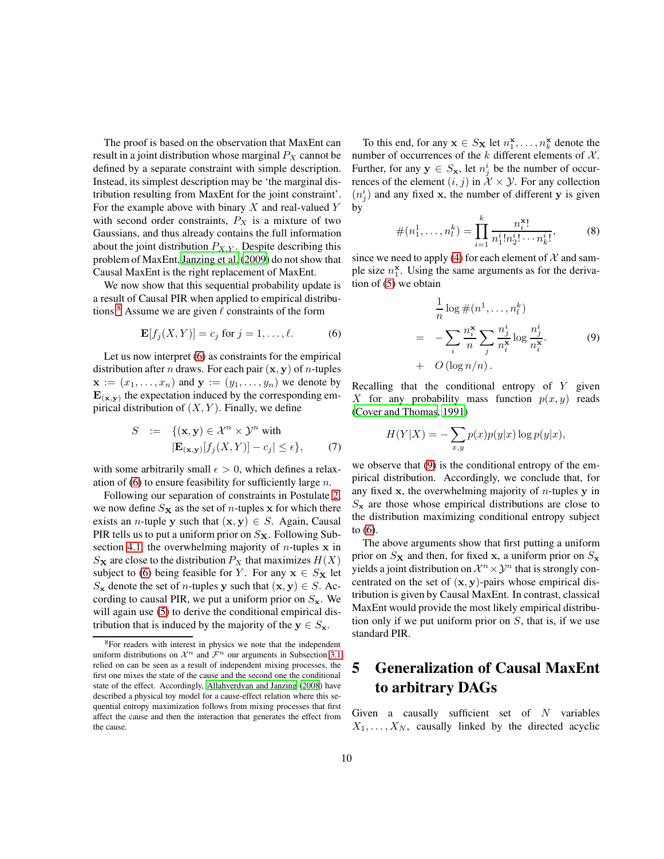The proof is based on the observation that MaxEnt can result in a joint distribution whose marginal  $P_X$  cannot be defined by a separate constraint with simple description. Instead, its simplest description may be 'the marginal distribution resulting from MaxEnt for the joint constraint'. For the example above with binary  $X$  and real-valued  $Y$ with second order constraints,  $P_X$  is a mixture of two Gaussians, and thus already contains the full information about the joint distribution  $P_{X,Y}$ . Despite describing this problem of MaxEnt, [Janzing et al. \(2009\)](#page-12-12) do not show that Causal MaxEnt is the right replacement of MaxEnt.

We now show that this sequential probability update is a result of Causal PIR when applied to empirical distribu-tions.<sup>[8](#page-9-1)</sup> Assume we are given  $\ell$  constraints of the form

<span id="page-9-2"></span>
$$
\mathbf{E}[f_j(X,Y)] = c_j \text{ for } j = 1, \dots, \ell.
$$
 (6)

Let us now interpret [\(6\)](#page-9-2) as constraints for the empirical distribution after *n* draws. For each pair  $(x, y)$  of *n*-tuples  $\mathbf{x} := (x_1, \ldots, x_n)$  and  $\mathbf{y} := (y_1, \ldots, y_n)$  we denote by  $E_{(\mathbf{x}, \mathbf{y})}$  the expectation induced by the corresponding empirical distribution of  $(X, Y)$ . Finally, we define

$$
S := \{ (\mathbf{x}, \mathbf{y}) \in \mathcal{X}^n \times \mathcal{Y}^n \text{ with }
$$
  

$$
|\mathbf{E}_{(\mathbf{x}, \mathbf{y})}[f_j(X, Y)] - c_j| \le \epsilon \},
$$
 (7)

with some arbitrarily small  $\epsilon > 0$ , which defines a relaxation of  $(6)$  to ensure feasibility for sufficiently large n.

Following our separation of constraints in Postulate [2,](#page-5-1) we now define  $S_{\mathbf{X}}$  as the set of *n*-tuples x for which there exists an *n*-tuple y such that  $(x, y) \in S$ . Again, Causal PIR tells us to put a uniform prior on  $S_{\mathbf{X}}$ . Following Sub-section [4.1,](#page-7-5) the overwhelming majority of  $n$ -tuples x in  $S_{\mathbf{X}}$  are close to the distribution  $P_X$  that maximizes  $H(X)$ subject to [\(6\)](#page-9-2) being feasible for Y. For any  $x \in S_X$  let  $S_{\mathbf{x}}$  denote the set of *n*-tuples y such that  $(\mathbf{x}, \mathbf{y}) \in S$ . According to causal PIR, we put a uniform prior on  $S_{\mathbf{x}}$ . We will again use [\(5\)](#page-8-3) to derive the conditional empirical distribution that is induced by the majority of the  $y \in S_x$ .

To this end, for any  $\mathbf{x} \in S_{\mathbf{X}}$  let  $n_1^{\mathbf{x}}, \dots, n_k^{\mathbf{x}}$  denote the number of occurrences of the  $k$  different elements of  $\mathcal{X}$ . Further, for any  $y \in S_{\mathbf{x}}$ , let  $n_j^i$  be the number of occurrences of the element  $(i, j)$  in  $\mathcal{X} \times \mathcal{Y}$ . For any collection  $(n_j^i)$  and any fixed x, the number of different y is given by

$$
\#(n_1^1, \dots, n_l^k) = \prod_{i=1}^k \frac{n_i^{\mathbf{x}!}}{n_1^i! n_2^i! \cdots n_k^i!},
$$
 (8)

since we need to apply [\(4\)](#page-8-4) for each element of  $\mathcal X$  and sample size  $n_1^{\mathbf{x}}$ . Using the same arguments as for the derivation of [\(5\)](#page-8-3) we obtain

<span id="page-9-3"></span>
$$
\frac{1}{n}\log\#(n^1,\ldots,n_l^k)
$$
\n
$$
= -\sum_i \frac{n_i^{\mathbf{x}}}{n} \sum_j \frac{n_j^i}{n_i^{\mathbf{x}}} \log \frac{n_j^i}{n_i^{\mathbf{x}}}.
$$
\n
$$
+ O\left(\log n/n\right).
$$
\n(9)

Recalling that the conditional entropy of  $Y$  given X for any probability mass function  $p(x, y)$  reads [\(Cover and Thomas, 1991\)](#page-12-11)

$$
H(Y|X) = -\sum_{x,y} p(x)p(y|x)\log p(y|x),
$$

we observe that [\(9\)](#page-9-3) is the conditional entropy of the empirical distribution. Accordingly, we conclude that, for any fixed x, the overwhelming majority of  $n$ -tuples y in  $S_{\mathbf{x}}$  are those whose empirical distributions are close to the distribution maximizing conditional entropy subject to [\(6\)](#page-9-2).

The above arguments show that first putting a uniform prior on  $S_{\mathbf{X}}$  and then, for fixed x, a uniform prior on  $S_{\mathbf{X}}$ yields a joint distribution on  $\mathcal{X}^n \times \mathcal{Y}^n$  that is strongly concentrated on the set of  $(x, y)$ -pairs whose empirical distribution is given by Causal MaxEnt. In contrast, classical MaxEnt would provide the most likely empirical distribution only if we put uniform prior on  $S$ , that is, if we use standard PIR.

# <span id="page-9-0"></span>5 Generalization of Causal MaxEnt to arbitrary DAGs

Given a causally sufficient set of  $N$  variables  $X_1, \ldots, X_N$ , causally linked by the directed acyclic

<span id="page-9-1"></span><sup>8</sup>For readers with interest in physics we note that the independent uniform distributions on  $\mathcal{X}^n$  and  $\mathcal{F}^n$  our arguments in Subsection [3.1](#page-5-3) relied on can be seen as a result of independent mixing processes, the first one mixes the state of the cause and the second one the conditional state of the effect. Accordingly, [Allahverdyan and Janzing](#page-12-5) [\(2008\)](#page-12-5) have described a physical toy model for a cause-effect relation where this sequential entropy maximization follows from mixing processes that first affect the cause and then the interaction that generates the effect from the cause.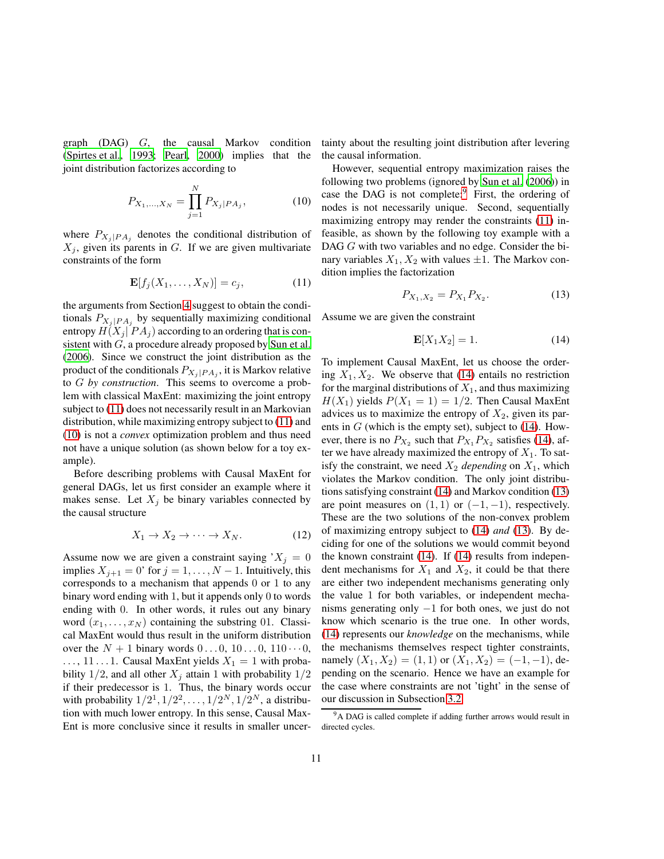graph (DAG) G, the causal Markov condition [\(Spirtes et al., 1993;](#page-13-0) [Pearl, 2000\)](#page-13-1) implies that the joint distribution factorizes according to

<span id="page-10-1"></span>
$$
P_{X_1,\dots,X_N} = \prod_{j=1}^N P_{X_j|PA_j},\tag{10}
$$

where  $P_{X_j|PA_j}$  denotes the conditional distribution of  $X_i$ , given its parents in G. If we are given multivariate constraints of the form

<span id="page-10-0"></span>
$$
\mathbf{E}[f_j(X_1,\ldots,X_N)] = c_j,\tag{11}
$$

the arguments from Section [4](#page-7-0) suggest to obtain the conditionals  $P_{X_j|PA_j}$  by sequentially maximizing conditional entropy  $H(X_i | PA_i)$  according to an ordering that is con-sistent with G, a procedure already proposed by [Sun et al.](#page-13-11) [\(2006\)](#page-13-11). Since we construct the joint distribution as the product of the conditionals  $P_{X_j|PA_j}$ , it is Markov relative to G *by construction*. This seems to overcome a problem with classical MaxEnt: maximizing the joint entropy subject to [\(11\)](#page-10-0) does not necessarily result in an Markovian distribution, while maximizing entropy subject to [\(11\)](#page-10-0) and [\(10\)](#page-10-1) is not a *convex* optimization problem and thus need not have a unique solution (as shown below for a toy example).

Before describing problems with Causal MaxEnt for general DAGs, let us first consider an example where it makes sense. Let  $X_j$  be binary variables connected by the causal structure

$$
X_1 \to X_2 \to \cdots \to X_N. \tag{12}
$$

Assume now we are given a constraint saying  $X_j = 0$ implies  $X_{j+1} = 0$ ' for  $j = 1, ..., N-1$ . Intuitively, this corresponds to a mechanism that appends 0 or 1 to any binary word ending with 1, but it appends only 0 to words ending with 0. In other words, it rules out any binary word  $(x_1, \ldots, x_N)$  containing the substring 01. Classical MaxEnt would thus result in the uniform distribution over the  $N + 1$  binary words  $0 \ldots 0$ ,  $10 \ldots 0$ ,  $110 \cdots 0$ ,  $\ldots$ , 11 $\ldots$ 1. Causal MaxEnt yields  $X_1 = 1$  with probability 1/2, and all other  $X_j$  attain 1 with probability 1/2 if their predecessor is 1. Thus, the binary words occur with probability  $1/2^1$ ,  $1/2^2$ , ...,  $1/2^N$ ,  $1/2^N$ , a distribution with much lower entropy. In this sense, Causal Max-Ent is more conclusive since it results in smaller uncertainty about the resulting joint distribution after levering the causal information.

However, sequential entropy maximization raises the following two problems (ignored by [Sun et al. \(2006](#page-13-11))) in case the DAG is not complete: $9$  First, the ordering of nodes is not necessarily unique. Second, sequentially maximizing entropy may render the constraints [\(11\)](#page-10-0) infeasible, as shown by the following toy example with a DAG G with two variables and no edge. Consider the binary variables  $X_1, X_2$  with values  $\pm 1$ . The Markov condition implies the factorization

<span id="page-10-4"></span>
$$
P_{X_1, X_2} = P_{X_1} P_{X_2}.
$$
 (13)

Assume we are given the constraint

<span id="page-10-3"></span>
$$
\mathbf{E}[X_1 X_2] = 1. \tag{14}
$$

To implement Causal MaxEnt, let us choose the ordering  $X_1, X_2$ . We observe that [\(14\)](#page-10-3) entails no restriction for the marginal distributions of  $X_1$ , and thus maximizing  $H(X_1)$  yields  $P(X_1 = 1) = 1/2$ . Then Causal MaxEnt advices us to maximize the entropy of  $X_2$ , given its parents in  $G$  (which is the empty set), subject to [\(14\)](#page-10-3). However, there is no  $P_{X_2}$  such that  $P_{X_1}P_{X_2}$  satisfies [\(14\)](#page-10-3), after we have already maximized the entropy of  $X_1$ . To satisfy the constraint, we need  $X_2$  *depending* on  $X_1$ , which violates the Markov condition. The only joint distributions satisfying constraint [\(14\)](#page-10-3) and Markov condition [\(13\)](#page-10-4) are point measures on  $(1, 1)$  or  $(-1, -1)$ , respectively. These are the two solutions of the non-convex problem of maximizing entropy subject to [\(14\)](#page-10-3) *and* [\(13\)](#page-10-4). By deciding for one of the solutions we would commit beyond the known constraint [\(14\)](#page-10-3). If [\(14\)](#page-10-3) results from independent mechanisms for  $X_1$  and  $X_2$ , it could be that there are either two independent mechanisms generating only the value 1 for both variables, or independent mechanisms generating only −1 for both ones, we just do not know which scenario is the true one. In other words, [\(14\)](#page-10-3) represents our *knowledge* on the mechanisms, while the mechanisms themselves respect tighter constraints, namely  $(X_1, X_2) = (1, 1)$  or  $(X_1, X_2) = (-1, -1)$ , depending on the scenario. Hence we have an example for the case where constraints are not 'tight' in the sense of our discussion in Subsection [3.2.](#page-6-0)

<span id="page-10-2"></span><sup>&</sup>lt;sup>9</sup>A DAG is called complete if adding further arrows would result in directed cycles.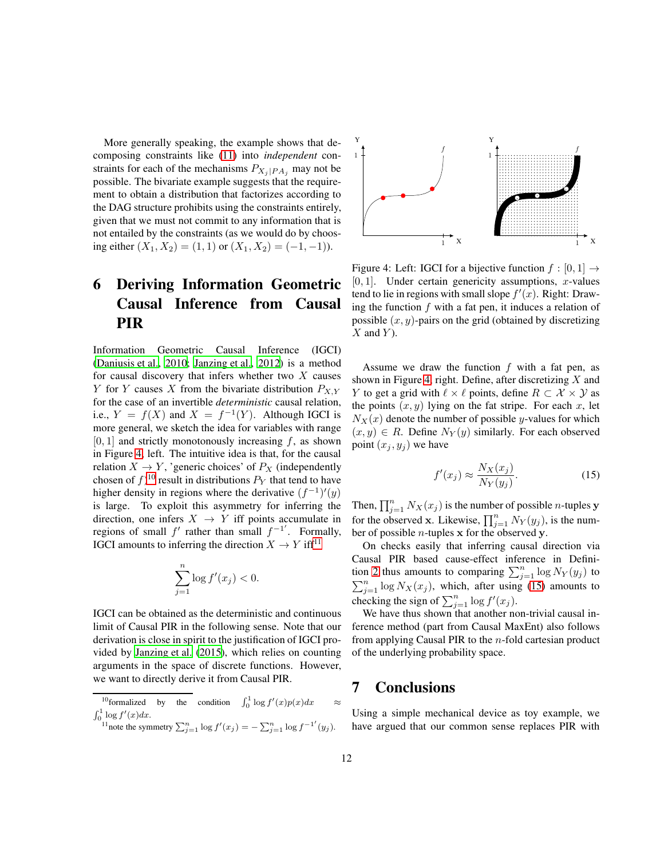More generally speaking, the example shows that decomposing constraints like [\(11\)](#page-10-0) into *independent* constraints for each of the mechanisms  $P_{X_i|PA_i}$  may not be possible. The bivariate example suggests that the requirement to obtain a distribution that factorizes according to the DAG structure prohibits using the constraints entirely, given that we must not commit to any information that is not entailed by the constraints (as we would do by choosing either  $(X_1, X_2) = (1, 1)$  or  $(X_1, X_2) = (-1, -1)$ .

# <span id="page-11-0"></span>6 Deriving Information Geometric Causal Inference from Causal PIR

Information Geometric Causal Inference (IGCI) [\(Daniusis et al.](#page-12-7), [2010;](#page-12-7) [Janzing et al., 2012](#page-12-13)) is a method for causal discovery that infers whether two  $X$  causes Y for Y causes X from the bivariate distribution  $P_{X,Y}$ for the case of an invertible *deterministic* causal relation, i.e.,  $Y = f(X)$  and  $X = f^{-1}(Y)$ . Although IGCI is more general, we sketch the idea for variables with range  $[0, 1]$  and strictly monotonously increasing f, as shown in Figure [4,](#page-11-1) left. The intuitive idea is that, for the causal relation  $X \to Y$ , 'generic choices' of  $P_X$  (independently chosen of  $f$ )<sup>[10](#page-11-2)</sup> result in distributions  $P_Y$  that tend to have higher density in regions where the derivative  $(f^{-1})'(y)$ is large. To exploit this asymmetry for inferring the direction, one infers  $X \rightarrow Y$  iff points accumulate in regions of small  $f'$  rather than small  $f^{-1'}$ . Formally, IGCI amounts to inferring the direction  $X \to Y$  iff<sup>[11](#page-11-3)</sup>

$$
\sum_{j=1}^{n} \log f'(x_j) < 0.
$$

IGCI can be obtained as the deterministic and continuous limit of Causal PIR in the following sense. Note that our derivation is close in spirit to the justification of IGCI provided by [Janzing et al. \(2015\)](#page-12-14), which relies on counting arguments in the space of discrete functions. However, we want to directly derive it from Causal PIR.

- <span id="page-11-3"></span><span id="page-11-2"></span><sup>10</sup>formalized by the condition  $\int_0^1 \log f'(x)p(x)dx \approx$  $\int_0^1 \log f'(x) dx$ .
	- <sup>11</sup>note the symmetry  $\sum_{j=1}^n \log f'(x_j) = -\sum_{j=1}^n \log f^{-1'}(y_j)$ .



<span id="page-11-1"></span>Figure 4: Left: IGCI for a bijective function  $f : [0, 1] \rightarrow$  $[0, 1]$ . Under certain genericity assumptions, x-values tend to lie in regions with small slope  $f'(x)$ . Right: Drawing the function  $f$  with a fat pen, it induces a relation of possible  $(x, y)$ -pairs on the grid (obtained by discretizing  $X$  and  $Y$ ).

Assume we draw the function  $f$  with a fat pen, as shown in Figure [4,](#page-11-1) right. Define, after discretizing  $X$  and Y to get a grid with  $\ell \times \ell$  points, define  $R \subset \mathcal{X} \times \mathcal{Y}$  as the points  $(x, y)$  lying on the fat stripe. For each x, let  $N_X(x)$  denote the number of possible y-values for which  $(x, y) \in R$ . Define  $N_Y(y)$  similarly. For each observed point  $(x_j, y_j)$  we have

<span id="page-11-4"></span>
$$
f'(x_j) \approx \frac{N_X(x_j)}{N_Y(y_j)}.\tag{15}
$$

Then,  $\prod_{j=1}^{n} N_X(x_j)$  is the number of possible *n*-tuples **y** for the observed x. Likewise,  $\prod_{j=1}^{n} N_Y(y_j)$ , is the number of possible  $n$ -tuples x for the observed y.

On checks easily that inferring causal direction via Causal PIR based cause-effect inference in Defini-tion [2](#page-3-3) thus amounts to comparing  $\sum_{j=1}^{n} \log N_Y(y_j)$  to  $\sum_{j=1}^{n} \log N_X(x_j)$ , which, after using [\(15\)](#page-11-4) amounts to checking the sign of  $\sum_{j=1}^n \log f'(x_j)$ .

We have thus shown that another non-trivial causal inference method (part from Causal MaxEnt) also follows from applying Causal PIR to the  $n$ -fold cartesian product of the underlying probability space.

### 7 Conclusions

Using a simple mechanical device as toy example, we have argued that our common sense replaces PIR with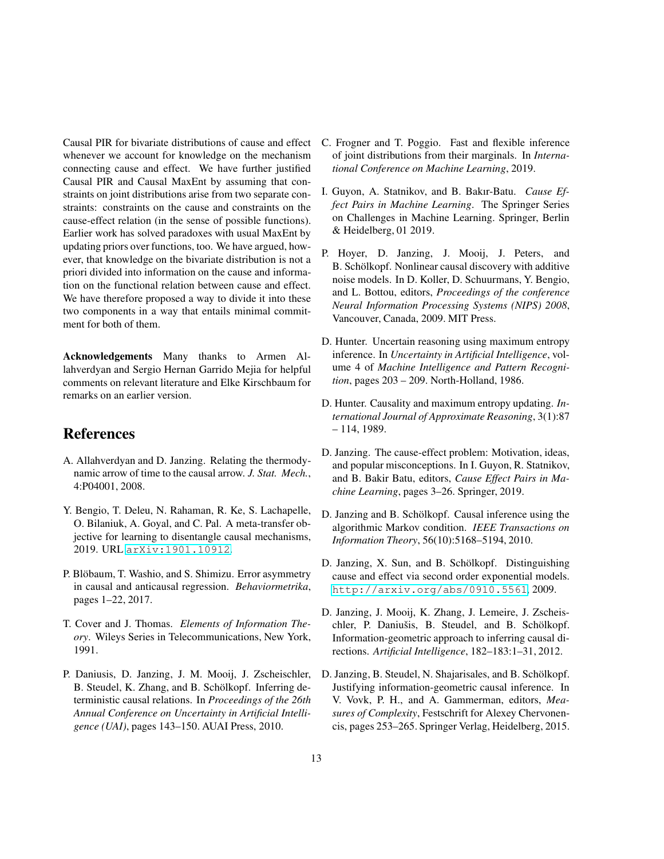Causal PIR for bivariate distributions of cause and effect whenever we account for knowledge on the mechanism connecting cause and effect. We have further justified Causal PIR and Causal MaxEnt by assuming that constraints on joint distributions arise from two separate constraints: constraints on the cause and constraints on the cause-effect relation (in the sense of possible functions). Earlier work has solved paradoxes with usual MaxEnt by updating priors over functions, too. We have argued, however, that knowledge on the bivariate distribution is not a priori divided into information on the cause and information on the functional relation between cause and effect. We have therefore proposed a way to divide it into these two components in a way that entails minimal commitment for both of them.

Acknowledgements Many thanks to Armen Allahverdyan and Sergio Hernan Garrido Mejia for helpful comments on relevant literature and Elke Kirschbaum for remarks on an earlier version.

## References

- <span id="page-12-5"></span>A. Allahverdyan and D. Janzing. Relating the thermodynamic arrow of time to the causal arrow. *J. Stat. Mech.*, 4:P04001, 2008.
- <span id="page-12-6"></span>Y. Bengio, T. Deleu, N. Rahaman, R. Ke, S. Lachapelle, O. Bilaniuk, A. Goyal, and C. Pal. A meta-transfer objective for learning to disentangle causal mechanisms, 2019. URL <arXiv:1901.10912>.
- <span id="page-12-2"></span>P. Blöbaum, T. Washio, and S. Shimizu. Error asymmetry in causal and anticausal regression. *Behaviormetrika*, pages 1–22, 2017.
- <span id="page-12-11"></span>T. Cover and J. Thomas. *Elements of Information Theory*. Wileys Series in Telecommunications, New York, 1991.
- <span id="page-12-7"></span>P. Daniusis, D. Janzing, J. M. Mooij, J. Zscheischler, B. Steudel, K. Zhang, and B. Schölkopf. Inferring deterministic causal relations. In *Proceedings of the 26th Annual Conference on Uncertainty in Artificial Intelligence (UAI)*, pages 143–150. AUAI Press, 2010.
- <span id="page-12-10"></span>C. Frogner and T. Poggio. Fast and flexible inference of joint distributions from their marginals. In *International Conference on Machine Learning*, 2019.
- <span id="page-12-3"></span>I. Guyon, A. Statnikov, and B. Bakır-Batu. *Cause Effect Pairs in Machine Learning*. The Springer Series on Challenges in Machine Learning. Springer, Berlin & Heidelberg, 01 2019.
- <span id="page-12-0"></span>P. Hoyer, D. Janzing, J. Mooij, J. Peters, and B. Schölkopf. Nonlinear causal discovery with additive noise models. In D. Koller, D. Schuurmans, Y. Bengio, and L. Bottou, editors, *Proceedings of the conference Neural Information Processing Systems (NIPS) 2008*, Vancouver, Canada, 2009. MIT Press.
- <span id="page-12-8"></span>D. Hunter. Uncertain reasoning using maximum entropy inference. In *Uncertainty in Artificial Intelligence*, volume 4 of *Machine Intelligence and Pattern Recognition*, pages 203 – 209. North-Holland, 1986.
- <span id="page-12-9"></span>D. Hunter. Causality and maximum entropy updating. *International Journal of Approximate Reasoning*, 3(1):87 – 114, 1989.
- <span id="page-12-4"></span>D. Janzing. The cause-effect problem: Motivation, ideas, and popular misconceptions. In I. Guyon, R. Statnikov, and B. Bakir Batu, editors, *Cause Effect Pairs in Machine Learning*, pages 3–26. Springer, 2019.
- <span id="page-12-1"></span>D. Janzing and B. Schölkopf. Causal inference using the algorithmic Markov condition. *IEEE Transactions on Information Theory*, 56(10):5168–5194, 2010.
- <span id="page-12-12"></span>D. Janzing, X. Sun, and B. Schölkopf. Distinguishing cause and effect via second order exponential models. <http://arxiv.org/abs/0910.5561>, 2009.
- <span id="page-12-13"></span>D. Janzing, J. Mooij, K. Zhang, J. Lemeire, J. Zscheischler, P. Daniušis, B. Steudel, and B. Schölkopf. Information-geometric approach to inferring causal directions. *Artificial Intelligence*, 182–183:1–31, 2012.
- <span id="page-12-14"></span>D. Janzing, B. Steudel, N. Shajarisales, and B. Schölkopf. Justifying information-geometric causal inference. In V. Vovk, P. H., and A. Gammerman, editors, *Measures of Complexity*, Festschrift for Alexey Chervonencis, pages 253–265. Springer Verlag, Heidelberg, 2015.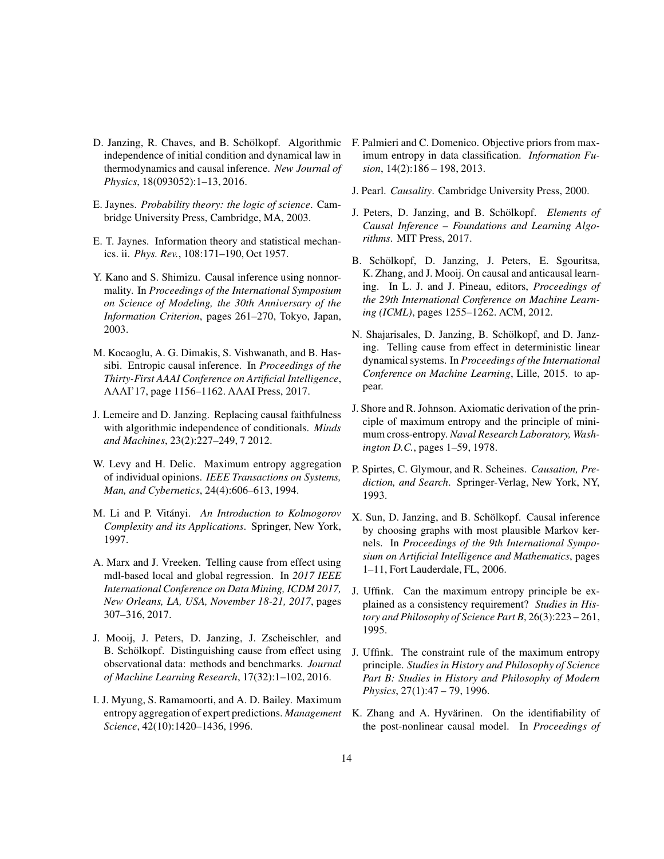- <span id="page-13-8"></span>D. Janzing, R. Chaves, and B. Schölkopf. Algorithmic independence of initial condition and dynamical law in thermodynamics and causal inference. *New Journal of Physics*, 18(093052):1–13, 2016.
- <span id="page-13-10"></span>E. Jaynes. *Probability theory: the logic of science*. Cambridge University Press, Cambridge, MA, 2003.
- <span id="page-13-18"></span>E. T. Jaynes. Information theory and statistical mechanics. ii. *Phys. Rev.*, 108:171–190, Oct 1957.
- <span id="page-13-2"></span>Y. Kano and S. Shimizu. Causal inference using nonnormality. In *Proceedings of the International Symposium on Science of Modeling, the 30th Anniversary of the Information Criterion*, pages 261–270, Tokyo, Japan, 2003.
- <span id="page-13-6"></span>M. Kocaoglu, A. G. Dimakis, S. Vishwanath, and B. Hassibi. Entropic causal inference. In *Proceedings of the Thirty-First AAAI Conference on Artificial Intelligence*, AAAI'17, page 1156–1162. AAAI Press, 2017.
- <span id="page-13-13"></span>J. Lemeire and D. Janzing. Replacing causal faithfulness with algorithmic independence of conditionals. *Minds and Machines*, 23(2):227–249, 7 2012.
- <span id="page-13-16"></span>W. Levy and H. Delic. Maximum entropy aggregation of individual opinions. *IEEE Transactions on Systems, Man, and Cybernetics*, 24(4):606–613, 1994.
- <span id="page-13-15"></span>M. Li and P. Vit´anyi. *An Introduction to Kolmogorov Complexity and its Applications*. Springer, New York, 1997.
- <span id="page-13-5"></span>A. Marx and J. Vreeken. Telling cause from effect using mdl-based local and global regression. In *2017 IEEE International Conference on Data Mining, ICDM 2017, New Orleans, LA, USA, November 18-21, 2017*, pages 307–316, 2017.
- <span id="page-13-3"></span>J. Mooij, J. Peters, D. Janzing, J. Zscheischler, and B. Schölkopf. Distinguishing cause from effect using observational data: methods and benchmarks. *Journal of Machine Learning Research*, 17(32):1–102, 2016.
- <span id="page-13-17"></span>I. J. Myung, S. Ramamoorti, and A. D. Bailey. Maximum entropy aggregation of expert predictions. *Management Science*, 42(10):1420–1436, 1996.
- <span id="page-13-19"></span>F. Palmieri and C. Domenico. Objective priors from maximum entropy in data classification. *Information Fusion*, 14(2):186 – 198, 2013.
- <span id="page-13-1"></span>J. Pearl. *Causality*. Cambridge University Press, 2000.
- <span id="page-13-7"></span>J. Peters, D. Janzing, and B. Schölkopf. *Elements of Causal Inference – Foundations and Learning Algorithms*. MIT Press, 2017.
- <span id="page-13-9"></span>B. Schölkopf, D. Janzing, J. Peters, E. Sgouritsa, K. Zhang, and J. Mooij. On causal and anticausal learning. In L. J. and J. Pineau, editors, *Proceedings of the 29th International Conference on Machine Learning (ICML)*, pages 1255–1262. ACM, 2012.
- <span id="page-13-14"></span>N. Shajarisales, D. Janzing, B. Schölkopf, and D. Janzing. Telling cause from effect in deterministic linear dynamical systems. In *Proceedings of the International Conference on Machine Learning*, Lille, 2015. to appear.
- <span id="page-13-21"></span>J. Shore and R. Johnson. Axiomatic derivation of the principle of maximum entropy and the principle of minimum cross-entropy. *Naval Research Laboratory, Washington D.C.*, pages 1–59, 1978.
- <span id="page-13-0"></span>P. Spirtes, C. Glymour, and R. Scheines. *Causation, Prediction, and Search*. Springer-Verlag, New York, NY, 1993.
- <span id="page-13-11"></span>X. Sun, D. Janzing, and B. Schölkopf. Causal inference by choosing graphs with most plausible Markov kernels. In *Proceedings of the 9th International Symposium on Artificial Intelligence and Mathematics*, pages 1–11, Fort Lauderdale, FL, 2006.
- <span id="page-13-12"></span>J. Uffink. Can the maximum entropy principle be explained as a consistency requirement? *Studies in History and Philosophy of Science Part B*, 26(3):223 – 261, 1995.
- <span id="page-13-20"></span>J. Uffink. The constraint rule of the maximum entropy principle. *Studies in History and Philosophy of Science Part B: Studies in History and Philosophy of Modern Physics*, 27(1):47 – 79, 1996.
- <span id="page-13-4"></span>K. Zhang and A. Hyvärinen. On the identifiability of the post-nonlinear causal model. In *Proceedings of*